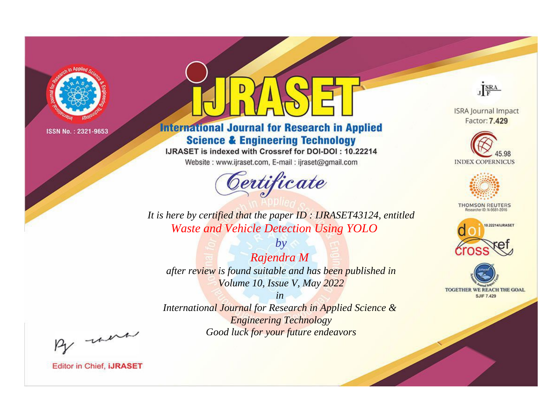

# **International Journal for Research in Applied Science & Engineering Technology**

IJRASET is indexed with Crossref for DOI-DOI: 10.22214

Website: www.ijraset.com, E-mail: ijraset@gmail.com



JERA

**ISRA Journal Impact** Factor: 7.429





**THOMSON REUTERS** 



TOGETHER WE REACH THE GOAL **SJIF 7.429** 

*It is here by certified that the paper ID : IJRASET43124, entitled Waste and Vehicle Detection Using YOLO*

*by Rajendra M after review is found suitable and has been published in Volume 10, Issue V, May 2022*

*in* 

*International Journal for Research in Applied Science & Engineering Technology Good luck for your future endeavors*

By morn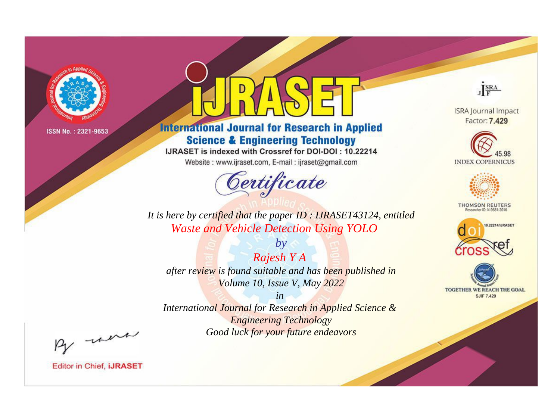

# **International Journal for Research in Applied Science & Engineering Technology**

IJRASET is indexed with Crossref for DOI-DOI: 10.22214

Website: www.ijraset.com, E-mail: ijraset@gmail.com



JERA

**ISRA Journal Impact** Factor: 7.429





**THOMSON REUTERS** 



TOGETHER WE REACH THE GOAL **SJIF 7.429** 

It is here by certified that the paper ID: IJRASET43124, entitled **Waste and Vehicle Detection Using YOLO** 

 $by$ Rajesh Y A after review is found suitable and has been published in Volume 10, Issue V, May 2022

 $in$ International Journal for Research in Applied Science & **Engineering Technology** Good luck for your future endeavors

By morn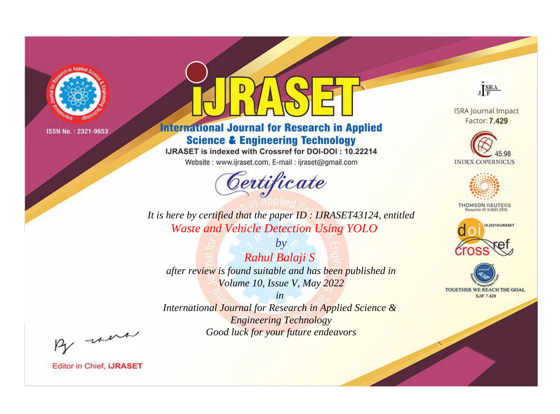

# **International Journal for Research in Applied Science & Engineering Technology**

IJRASET is indexed with Crossref for DOI-DOI: 10.22214

Website: www.ijraset.com, E-mail: ijraset@gmail.com



JERA

**ISRA Journal Impact** Factor: 7.429





**THOMSON REUTERS** 



TOGETHER WE REACH THE GOAL **SJIF 7.429** 

*It is here by certified that the paper ID : IJRASET43124, entitled Waste and Vehicle Detection Using YOLO*

*by Rahul Balaji S after review is found suitable and has been published in Volume 10, Issue V, May 2022*

*in* 

*International Journal for Research in Applied Science & Engineering Technology Good luck for your future endeavors*

By morn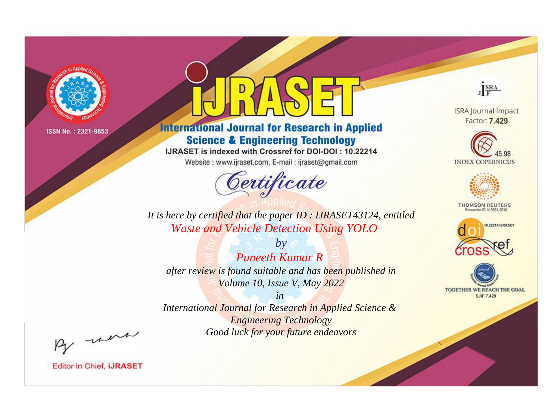

# **International Journal for Research in Applied Science & Engineering Technology**

IJRASET is indexed with Crossref for DOI-DOI: 10.22214

Website: www.ijraset.com, E-mail: ijraset@gmail.com



JERA

**ISRA Journal Impact** Factor: 7.429





**THOMSON REUTERS** 



TOGETHER WE REACH THE GOAL **SJIF 7.429** 

*It is here by certified that the paper ID : IJRASET43124, entitled Waste and Vehicle Detection Using YOLO*

*by Puneeth Kumar R after review is found suitable and has been published in Volume 10, Issue V, May 2022*

*in* 

*International Journal for Research in Applied Science & Engineering Technology Good luck for your future endeavors*

By morn